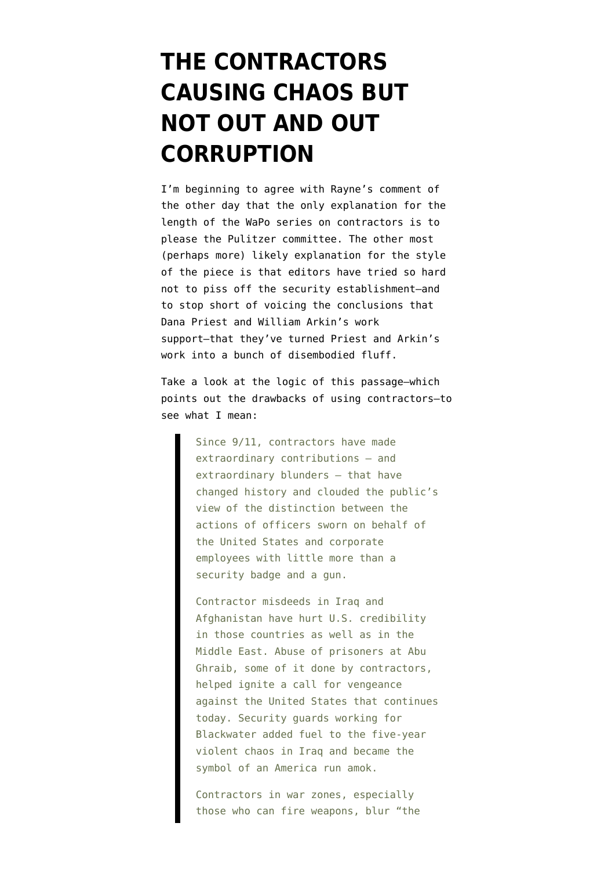## **[THE CONTRACTORS](https://www.emptywheel.net/2010/07/20/11951/) [CAUSING CHAOS BUT](https://www.emptywheel.net/2010/07/20/11951/) [NOT OUT AND OUT](https://www.emptywheel.net/2010/07/20/11951/) [CORRUPTION](https://www.emptywheel.net/2010/07/20/11951/)**

I'm beginning to agree with Rayne's comment of the other day that the only explanation for the length of the [WaPo series on contractors](http://projects.washingtonpost.com/top-secret-america/articles/national-security-inc/print/) is to please the Pulitzer committee. The other most (perhaps more) likely explanation for the style of the piece is that editors have tried so hard not to piss off the security establishment–and to stop short of voicing the conclusions that Dana Priest and William Arkin's work support–that they've turned Priest and Arkin's work into a bunch of disembodied fluff.

Take a look at the logic of this passage–which points out the drawbacks of using contractors–to see what I mean:

> Since 9/11, contractors have made extraordinary contributions – and extraordinary blunders – that have changed history and clouded the public's view of the distinction between the actions of officers sworn on behalf of the United States and corporate employees with little more than a security badge and a gun.

> Contractor misdeeds in Iraq and Afghanistan have hurt U.S. credibility in those countries as well as in the Middle East. Abuse of prisoners at Abu Ghraib, some of it done by contractors, helped ignite a call for vengeance against the United States that continues today. Security guards working for Blackwater added fuel to the five-year violent chaos in Iraq and became the symbol of an America run amok.

Contractors in war zones, especially those who can fire weapons, blur "the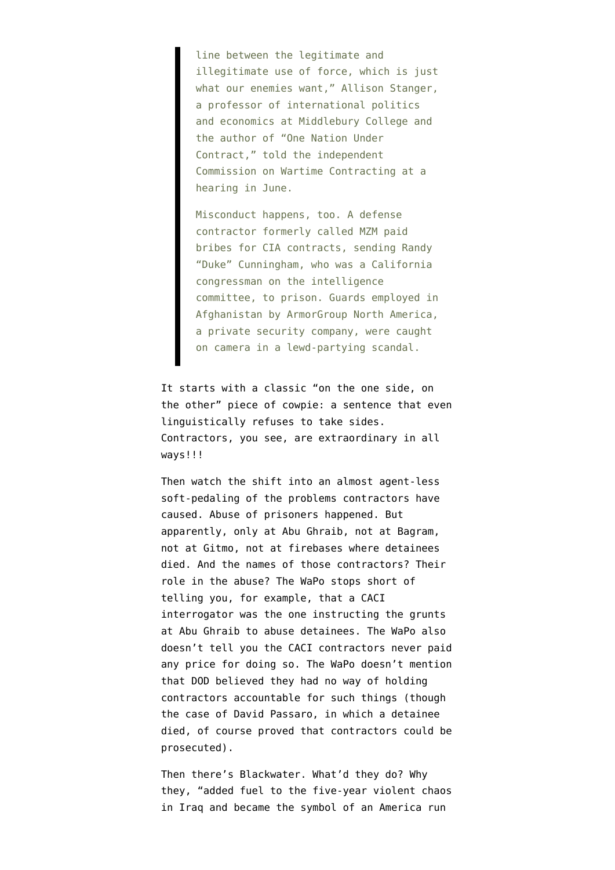line between the legitimate and illegitimate use of force, which is just what our enemies want," Allison Stanger, a professor of international politics and economics at Middlebury College and the author of "One Nation Under Contract," told the independent Commission on Wartime Contracting at a hearing in June.

Misconduct happens, too. A defense contractor formerly called MZM paid bribes for CIA contracts, sending Randy "Duke" Cunningham, who was a California congressman on the intelligence committee, to prison. Guards employed in Afghanistan by ArmorGroup North America, a private security company, were caught on camera in a lewd-partying scandal.

It starts with a classic "on the one side, on the other" piece of cowpie: a sentence that even linguistically refuses to take sides. Contractors, you see, are extraordinary in all ways!!!

Then watch the shift into an almost agent-less soft-pedaling of the problems contractors have caused. Abuse of prisoners happened. But apparently, only at Abu Ghraib, not at Bagram, not at Gitmo, not at firebases where detainees died. And the names of those contractors? Their role in the abuse? The WaPo stops short of telling you, for example, that a CACI interrogator was the one instructing the grunts at Abu Ghraib to abuse detainees. The WaPo also doesn't tell you the CACI contractors never paid any price for doing so. The WaPo doesn't mention that DOD believed they had no way of holding contractors accountable for such things (though the case of David Passaro, in which a detainee died, of course proved that contractors could be prosecuted).

Then there's Blackwater. What'd they do? Why they, "added fuel to the five-year violent chaos in Iraq and became the symbol of an America run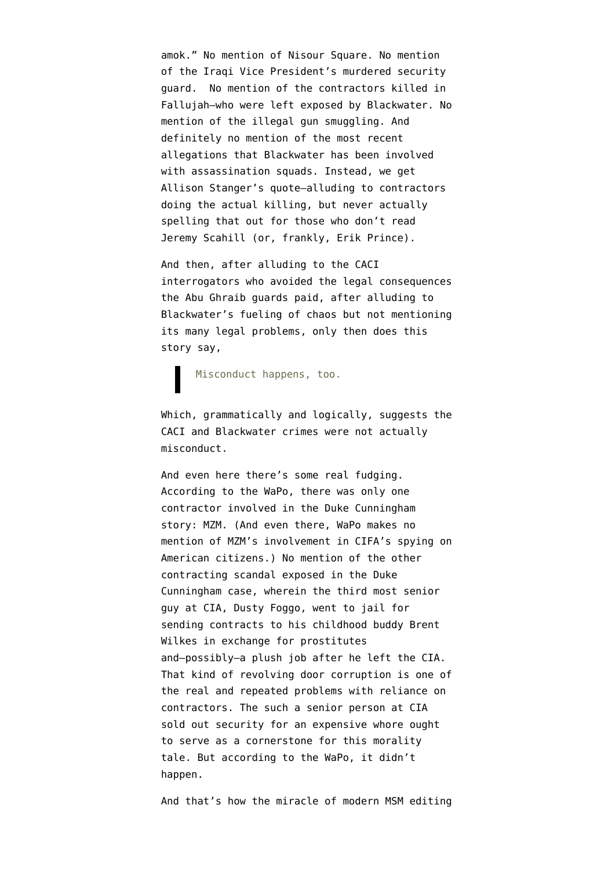amok." No mention of Nisour Square. No mention of the Iraqi Vice President's murdered security guard. No mention of the contractors killed in Fallujah–who were left exposed by Blackwater. No mention of the illegal gun smuggling. And definitely no mention of the most recent allegations that Blackwater has been involved with assassination squads. Instead, we get Allison Stanger's quote–alluding to contractors doing the actual killing, but never actually spelling that out for those who don't read Jeremy Scahill (or, frankly, Erik Prince).

And then, after alluding to the CACI interrogators who avoided the legal consequences the Abu Ghraib guards paid, after alluding to Blackwater's fueling of chaos but not mentioning its many legal problems, only then does this story say,

Misconduct happens, too.

Which, grammatically and logically, suggests the CACI and Blackwater crimes were not actually misconduct.

And even here there's some real fudging. According to the WaPo, there was only one contractor involved in the Duke Cunningham story: MZM. (And even there, WaPo makes no mention of MZM's involvement in CIFA's spying on American citizens.) No mention of the other contracting scandal exposed in the Duke Cunningham case, wherein the third most senior guy at CIA, Dusty Foggo, went to jail for sending contracts to his childhood buddy Brent Wilkes in exchange for prostitutes and–possibly–a plush job after he left the CIA. That kind of revolving door corruption is one of the real and repeated problems with reliance on contractors. The such a senior person at CIA sold out security for an expensive whore ought to serve as a cornerstone for this morality tale. But according to the WaPo, it didn't happen.

And that's how the miracle of modern MSM editing